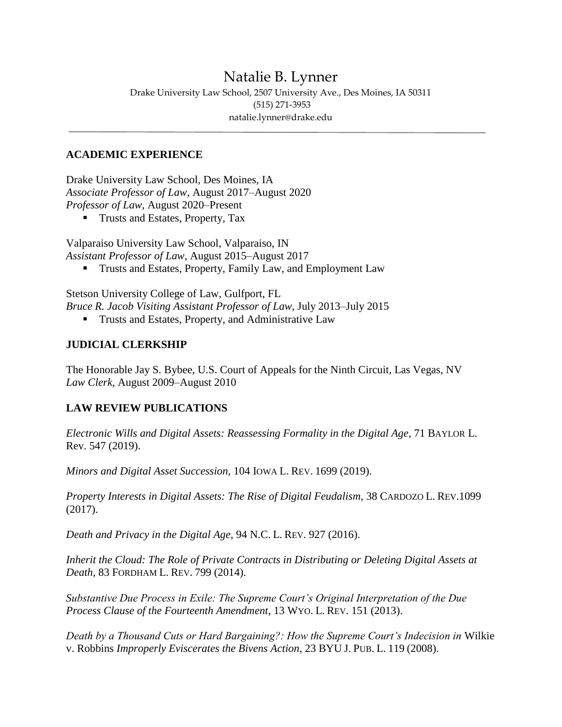# Natalie B. Lynner

Drake University Law School, 2507 University Ave., Des Moines, IA 50311 (515) 271-3953 natalie.lynner@drake.edu

#### **ACADEMIC EXPERIENCE**

Drake University Law School, Des Moines, IA *Associate Professor of Law*, August 2017–August 2020 *Professor of Law*, August 2020–Present

■ Trusts and Estates, Property, Tax

Valparaiso University Law School, Valparaiso, IN *Assistant Professor of Law*, August 2015–August 2017

Trusts and Estates, Property, Family Law, and Employment Law

Stetson University College of Law, Gulfport, FL *Bruce R. Jacob Visiting Assistant Professor of Law*, July 2013–July 2015

**Trusts and Estates, Property, and Administrative Law** 

#### **JUDICIAL CLERKSHIP**

The Honorable Jay S. Bybee, U.S. Court of Appeals for the Ninth Circuit, Las Vegas, NV *Law Clerk*, August 2009–August 2010

## **LAW REVIEW PUBLICATIONS**

*Electronic Wills and Digital Assets: Reassessing Formality in the Digital Age*, 71 BAYLOR L. Rev. 547 (2019).

*Minors and Digital Asset Succession,* 104 IOWA L. REV. 1699 (2019).

*Property Interests in Digital Assets: The Rise of Digital Feudalism,* 38 CARDOZO L. REV.1099 (2017).

*Death and Privacy in the Digital Age*, 94 N.C. L. REV. 927 (2016).

*Inherit the Cloud: The Role of Private Contracts in Distributing or Deleting Digital Assets at Death,* 83 FORDHAM L. REV. 799 (2014).

*Substantive Due Process in Exile: The Supreme Court's Original Interpretation of the Due Process Clause of the Fourteenth Amendment*, 13 WYO. L. REV. 151 (2013).

*Death by a Thousand Cuts or Hard Bargaining?: How the Supreme Court's Indecision in* Wilkie v. Robbins *Improperly Eviscerates the Bivens Action*, 23 BYU J. PUB. L. 119 (2008).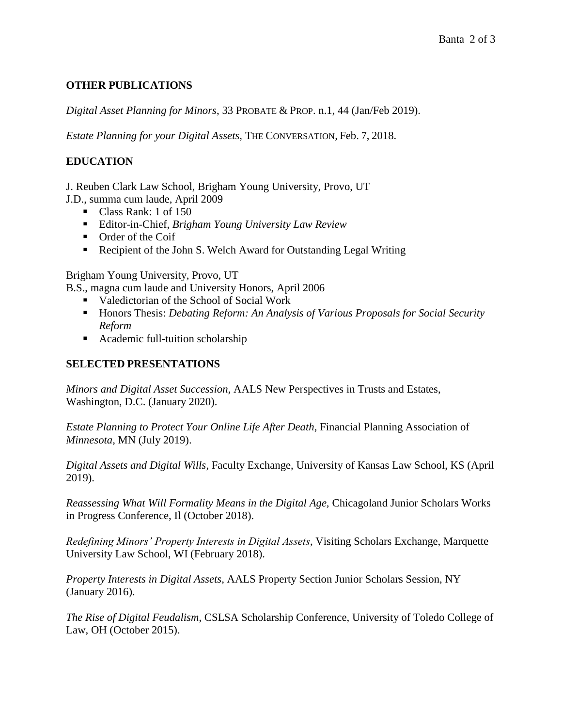## **OTHER PUBLICATIONS**

*Digital Asset Planning for Minors*, 33 PROBATE & PROP. n.1, 44 (Jan/Feb 2019).

*Estate Planning for your Digital Assets,* THE CONVERSATION*,* Feb. 7, 2018.

## **EDUCATION**

J. Reuben Clark Law School, Brigham Young University, Provo, UT

J.D., summa cum laude, April 2009

- Class Rank: 1 of 150
- Editor-in-Chief, *Brigham Young University Law Review*
- **•** Order of the Coif
- Recipient of the John S. Welch Award for Outstanding Legal Writing

Brigham Young University, Provo, UT

B.S., magna cum laude and University Honors, April 2006

- Valedictorian of the School of Social Work
- **Honors Thesis:** *Debating Reform: An Analysis of Various Proposals for Social Security Reform*
- Academic full-tuition scholarship

#### **SELECTED PRESENTATIONS**

*Minors and Digital Asset Succession,* AALS New Perspectives in Trusts and Estates, Washington, D.C. (January 2020).

*Estate Planning to Protect Your Online Life After Death*, Financial Planning Association of *Minnesota*, MN (July 2019).

*Digital Assets and Digital Wills*, Faculty Exchange, University of Kansas Law School, KS (April 2019).

*Reassessing What Will Formality Means in the Digital Age,* Chicagoland Junior Scholars Works in Progress Conference, Il (October 2018).

*Redefining Minors' Property Interests in Digital Assets*, Visiting Scholars Exchange, Marquette University Law School, WI (February 2018).

*Property Interests in Digital Assets*, AALS Property Section Junior Scholars Session, NY (January 2016).

*The Rise of Digital Feudalism*, CSLSA Scholarship Conference, University of Toledo College of Law, OH (October 2015).